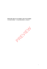# **INDUSTRY BETAS LEVERED AND UNLEVERED** 134 INDUSTRIES - 10 GEOGRAPHICAL AREAS

REVEN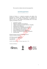This research on industry betas has been prepared by:

salvidio &partners VALUATION OF BUSINESSES AND INTANGIBLES<br>CHARTERED ACCOUNTANTS AND AUDITORS

Salvidio & Partners is a chartered accountants and auditors firm specialised in economic and financial analyses for valuations and litigations. We act as counsels to entrepreneurs, to corporations, law firms as well as to other auditors and accounting firms. Our clients require our assistance in case of:

- **acquisitions**, mergers
- **Ilitigations, arbitrations and mediations**
- valuation of businesses, business interests, intangibles
- auditing and due diligences
- impairment test of intangible assets and goodwill
- assessment of fair value of financial assets
- crisis management and insolvency
- **financial planning and capital budgeting**
- **fi** forensic accounting and expert witness testimonies
- **transfer pricing**

Salvidio & Partners Società Tra Professionisti Ltd. Chartered Accountants and Auditors ment test of intangible assets and goodwil<br>ment of fair value of financial assets<br>management and insolvency<br>ial planning and capital budgeting<br>ic accounting and expert witness testimon<br>er pricing<br>ers Società Tra Profession

I-00197 Roma -Via Antonio Gramsci, 9 Tel: +39.06.3610885 Fax: + 30.06.3236476 www.salvidio.com info@salvidio.com

UK SW1Y 4LB London - 11-12 St. James's Square, Suite 1, 3rd Fl.

Credential and affiliations:







2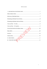#### Table of contents

| 13                      |
|-------------------------|
| $III - INDUSTRY BETAS.$ |
|                         |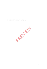**I-DESCRIPTION OF METHOD USED** 

PRIVER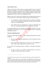## **About industry betas**

Tables in Section III of this research are showing industry betas, *levered* and  $unlevered$ , estimated<sup>1</sup> on the basis of individual betas of shares issued by thousands of companies quoted on stock exchanges worldwide. Industry betas have been calculated as arithmetic averages of individual betas. They have been aggregated by industry as well as by geographical areas<sup>2</sup>.

Industry betas can be useful when estimating cost of capital because they tend to be less sensitive to errors that may affect calculation of individual betas:

- as a consequence of special market situations or of other extraordinary events involving underlying companies, individual betas sometimes result over- or underestimated;
- since industry betas are determined as averages of individual stock betas, over- and underestimations tend to compensate each other.

An average (industry) beta can, therefore, be generally considered to be more meaningful for the purpose of cost of capital calculation than its underlying individual stock betas. The State Contract of Capital Contract of Capital Contract Contract Contract Contract Contract Contract Contract Contract Contract Contract Contract Contract Contract Contract Contract Contract Contract Contract Contract C

# **Selection of individual betas**

 $\overline{a}$ 

In order to estimate industry betas, we have collected individual betas of listed companies:

- having a minimum market capitalization of Euro 50 million in the last five years;
- whose shares daily traded value was never less to one hundredth of their average market capitalization in the last five years.

In our opinion, the requirements above constitute a reasonable compromise between:

 the need to collect a vast number of individual betas to be able to calculate as many industry betas as possible;

<sup>&</sup>lt;sup>1</sup> Our estimates are based on industry, stock market and financial data provided by Standard & Poor's Capital IQ

<sup>&</sup>lt;sup>2</sup> We have calculated a "global" value of each industry beta. Additionally the tables feature also "regional" values for following areas: *European Union and Western Europe, Russia and Eastern Europe*, *Southern and Eastern Mediterranean Countries*, *States of the Persian Gulf*, *Sub-Saharan Africa*, *Central and South Asia*, *East Asia*, *Pacific States*, *South America*, *North America*.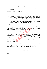the necessity to avoid companies that are too small and/or whose shares may be thinly traded, since their individual betas may be not meaningful.

## **Estimating individual** *levered* **betas**

For each company selected we have estimated a set of two *levered* betas:

- *calculation technique*: regression of return of company shares to market return, applied over two distinctive periods of five and of two years considering, respectively, monthly and weekly returns;
- *market return*: we have assumed as a proxy the return of the local stock market index of reference for the underlying company.

Individual *levered* betas calculated over a five years regression period appear, generally, to be less dispersed around market beta than two years regression ones. The latter, due to the shorter regression period, may result more affected by volatility of underlying shares return to index return, but also better reflect underlying company's recent operating and risk profiles.

## **Estimating individual** *unlevered* **betas**

Based on their *levered* betas, we have calculated *unlevered* betas of all companies different than those belonging to financial industries (banks and insurances). We have estimated *unlevered* betas using two different techniques, depending on whether the underlying company's gross debt less "cash<sup>3</sup> and equivalents" is greater than (net debt) or lower than (net liquidity) zero. to the shorter regression period, may r<br>lying shares return to index return, but<br>s recent operating and risk profiles.<br>al *unlevered* betas<br>al *unlevered* betas<br>*red* betas, we have calculated *unle*<br>than those belonging t

# *Unlevered Beta – Net debt*

In the case of existing net debt (gross debt being higher than cash and equivalents), we have used a simplified version<sup>4</sup> of Hamada's formula to extract *unlevered* beta from one stock's *levered* five years and two years betas:

$$
\beta_{unlevered} = \frac{\beta_{levered}}{1 + (1 - t) \times \frac{D}{E}}
$$

where:

 $\overline{a}$ 

<sup>&</sup>lt;sup>3</sup> Amount of liquidity has been adjusted to properly reflect s.c. "working cash". See T. Coller, M. Goedhart, D.Wessels *Valuation*, Wiley, 2010, pag. 143 4

<sup>&</sup>lt;sup>4</sup> The implied assumption is that debt beta may not be meaningful. To be consistent with this assumption, we have discarded betas of companies with an excessive level of indebtedness.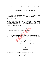- "D": gross debt (adjusted for pension liabilities and similar provisions) less cash and equivalents;
- "E": market capitalization adjusted for minority interests;
- "t": effective tax rate.

"D", "E" and "t" used in the above formula are, respectively, 5 years or 2 years average values, depending on regression period of *levered* betas.

#### *Unlevered Beta – Net liquidity*

In case of existing net liquidity (gross debt lower than cash and equivalents), a company's market capitalization "E" can be assumed to be the sum of two components, the first consisting in the market value of its business " $E_b$ " and the

second being its net liquidity " $E_{liq}$ ":

 $\overline{a}$ 

$$
E = E_b + E_{liq}
$$

The equation above can also be rewritten as follows:

$$
E = (E - E_{liq}) + E_{liq}
$$

The company's *levered* beta should be equal to the weighted average of beta of its net liquidity and beta of its business. The latter should therefore correspond to the "true" *unlevered* beta:  $E = E_b + E_{liq}$ <br>
can also be rewritten as follows:<br>  $E = (E - E_{liq}) + E_{liq}$ <br>
red beta should be equal to the weight<br>
beta of its business. The latter should<br>
red beta:<br>  $\beta_{leverted} = \beta_{Eb} \frac{(E - E_{liq})}{E} + \beta_{E_{liq}} \frac{E_{liq}}{E}$ 

$$
\beta_{lepered} = \beta_{Eb} \frac{(E - E_{liq})}{E} + \beta_{E_{liq}} \frac{E_{liq}}{E}
$$

Assuming that net liquidity's beta is equal to zero,  $\beta_{Fb}$  can be calculated as follows<sup>5</sup>:

$$
\beta_{Eb} = \frac{\beta_{levered}}{\frac{(E - E_{liq})}{E}}
$$

In the end, for D equal to  $E_{liq}$ , the formula can be rewritten as:

$$
\beta_{unlevered} = \frac{\beta_{levered}}{\frac{(E - D)}{E}}
$$

<sup>5</sup> M. Massari, G. Gianfrate, L. Zanetti *Corporate Valuation*, Wiley, 2016, pag. 216-218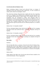## *Levered* **and** *unlevered* **industry betas**

Before calculating industry *levered* and *unlevered* betas as averages of individual *levered* and *unlevered* betas respectively, we have screened out outliers and/or otherwise meaningless values<sup>6</sup>.

The *unlevering* technique illustrated above implies that the risk of operating activity of a company is not influenced by net liquidity and that, therefore, one can calculate *unlevered* beta as shown before. In our opinion, however, this assumption may not correspond to reality, since decisions taken by management, all other circumstances being equal, may be different in case of the company's gross debt being higher or lower than cash and equivalents. We therefore have computed industry betas (both for five and for two years individual betas regression periods) from two different perspectives, as outlined below.

## *Industry betas "net liquidity included"*

We have calculated industry betas, both *levered* and *unlevered*, by averaging individual *levered* and *unlevered* betas, considering companies having net liquidity.

# *Industry betas "net liquidity excluded"*

We have calculated industry betas, both *levered* and *unlevered*, by averaging individual *levered* and *unlevered* betas, screening out companies having net liquidity.

## **Data tables**

#### *Summary*

The first data table shows a summary of *levered* and *unlevered* industry betas, reporting their lowest, their highest and their average values, rounded to the second decimal place. Industry betas are grouped by length of regression time period (2Y or 5Y), and sorted also by said inclusion or exclusion of net liquidity companies. Translation and *interestal* and *interered*, by averaging dimerered betas, considering companies having a puddity excluded"<br>
interest detas, sorth *levered* and *unlevered*, by averaging dimerered betas, screening out com

## *Industry betas*

 $\overline{a}$ 

Single industry beta tables show *levered* and *unlevered* betas rounded to the second decimal place. They are aggregated:

<sup>&</sup>lt;sup>6</sup> We also screened out individual betas of companies showing negative or unusually high average effective tax rates.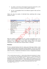- *by column*: on the basis of the length of regression period (5Y or 2Y) and by inclusion or exclusion of net liquidity companies;
- *by raw*: on geographical basis (ten different regional values and one global value).

Tables also show the number of individual betas underlying their average  $(industry)$  values<sup>7</sup>:

|   |                                                                                                                                                                                                                                                                                                                                                                                                                                                                                                                                                                                                                                                                                                                                                                                                        |                   | D  |                   | E  |      |    | F                 |    |
|---|--------------------------------------------------------------------------------------------------------------------------------------------------------------------------------------------------------------------------------------------------------------------------------------------------------------------------------------------------------------------------------------------------------------------------------------------------------------------------------------------------------------------------------------------------------------------------------------------------------------------------------------------------------------------------------------------------------------------------------------------------------------------------------------------------------|-------------------|----|-------------------|----|------|----|-------------------|----|
|   |                                                                                                                                                                                                                                                                                                                                                                                                                                                                                                                                                                                                                                                                                                                                                                                                        |                   |    |                   |    |      |    |                   |    |
| В | Oil & Gas Drilling                                                                                                                                                                                                                                                                                                                                                                                                                                                                                                                                                                                                                                                                                                                                                                                     | $(\beta_{\iota})$ | n. | $\beta_u$         | n. | Ŗ,   | n. | $\beta_{u}$       | n. |
|   | 30-giu-2017                                                                                                                                                                                                                                                                                                                                                                                                                                                                                                                                                                                                                                                                                                                                                                                            |                   |    | 5Y net liq. incl. |    |      |    | 5Y net liq. excl. |    |
|   | <b>European Union and Western Europe</b>                                                                                                                                                                                                                                                                                                                                                                                                                                                                                                                                                                                                                                                                                                                                                               | 0,76              | 3  | 0,47              | 3  | 0,76 | 3  | 0,47              |    |
|   | Russia & Eastern Europe                                                                                                                                                                                                                                                                                                                                                                                                                                                                                                                                                                                                                                                                                                                                                                                |                   |    |                   |    |      |    |                   |    |
|   | Southern & Eastern Mediterranean                                                                                                                                                                                                                                                                                                                                                                                                                                                                                                                                                                                                                                                                                                                                                                       |                   |    |                   |    |      |    |                   |    |
|   | <b>States of the Persian Gulf</b>                                                                                                                                                                                                                                                                                                                                                                                                                                                                                                                                                                                                                                                                                                                                                                      |                   |    |                   |    |      |    |                   |    |
|   | <b>Sub-Saharan Africa</b>                                                                                                                                                                                                                                                                                                                                                                                                                                                                                                                                                                                                                                                                                                                                                                              |                   |    |                   |    |      |    |                   |    |
|   | Central & South Asia                                                                                                                                                                                                                                                                                                                                                                                                                                                                                                                                                                                                                                                                                                                                                                                   |                   |    |                   |    |      |    |                   |    |
|   | <b>East Asia</b>                                                                                                                                                                                                                                                                                                                                                                                                                                                                                                                                                                                                                                                                                                                                                                                       | 1,11              |    | 0,98              | з  | 1,11 | з  | 0,98              | з  |
|   | <b>Pacific States</b>                                                                                                                                                                                                                                                                                                                                                                                                                                                                                                                                                                                                                                                                                                                                                                                  |                   |    |                   |    |      |    |                   |    |
|   | <b>South America</b>                                                                                                                                                                                                                                                                                                                                                                                                                                                                                                                                                                                                                                                                                                                                                                                   | 1,09              |    | 0,66              | 1  | 1,09 | 1  | 0,66              | 1  |
|   | <b>North America</b>                                                                                                                                                                                                                                                                                                                                                                                                                                                                                                                                                                                                                                                                                                                                                                                   | 1,50              |    | 1,17              | 7  | 1,48 | 6  | 1,10              | 6  |
|   | Global                                                                                                                                                                                                                                                                                                                                                                                                                                                                                                                                                                                                                                                                                                                                                                                                 | 1,22              |    | (0, 94)           | 14 | 1,20 | 13 | 0,89              | 13 |
|   |                                                                                                                                                                                                                                                                                                                                                                                                                                                                                                                                                                                                                                                                                                                                                                                                        |                   |    | G                 |    |      | н  |                   |    |
|   | <b>Disclaimer</b>                                                                                                                                                                                                                                                                                                                                                                                                                                                                                                                                                                                                                                                                                                                                                                                      |                   |    |                   |    |      |    |                   |    |
|   | We have estimated industry betas by relying upon third party industry, stock<br>market and financial data of thousands of listed companies. We have not verified<br>such data. All information contained in this publication is presented without any<br>claim of accuracy, completeness and absence of errors. Computational mistakes                                                                                                                                                                                                                                                                                                                                                                                                                                                                 |                   |    |                   |    |      |    |                   |    |
|   | $\sigma$ How to read the industry beta tables: A = reference date of industry beta calculation; B = industry;<br>$C$ = rows of industry beta values aggregated by geographical area; $D$ = columns displaying values<br>of levered ( $\beta$ ) and unlevered ( $\beta$ ) industry betas; E = regression period, 5Y or 2Y: betas are<br>aggregated in different columns depending on whether companies with net liquidity were or were<br>not included in the industry betas calculation; F = columns displaying the number of individual betas<br>underlying the values of industry betas; $G =$ sample values of levered and unlevered industry betas;<br>H = sample quantity of individual betas underlying corresponding industry betas values<br><sup>8</sup> Beta adjusted = Beta x $2/3$ + $1/3$ |                   |    |                   |    |      |    |                   |    |
|   |                                                                                                                                                                                                                                                                                                                                                                                                                                                                                                                                                                                                                                                                                                                                                                                                        |                   |    |                   |    |      |    |                   | 11 |

## **Disclaimer**

 $^7$  *How to read the industry beta tables*: A = reference date of industry beta calculation; B = industry;  $C$  = rows of industry beta values aggregated by geographical area;  $D =$  columns displaying values of levered ( $\beta_L$ ) and unlevered ( $\beta_L$ ) industry betas; E = regression period, 5Y or 2Y: betas are aggregated in different columns depending on whether companies with net liquidity were or were not included in the industry betas calculation;  $F =$  columns displaying the number of individual betas underlying the values of industry betas;  $G =$  sample values of levered and unlevered industry betas;  $H =$  sample quantity of individual betas underlying corresponding industry betas values

 $8$  Beta adjusted = Beta x  $2/3 + 1/3$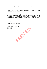can occur frequently when, like in this case, complex calculations are made by using a huge amount of information data.

We may, in future, modify our criteria of calculation of industry betas as well as change any content of this publication.

All information contained in this publication is provided *as is*. It is to be used at the reader's own risk only. We do not undertake any responsibility in case of negative consequences that may result to anybody, directly or indirectly, from using industry betas and/or any other information contained in this publication.

#### salvidio & partners

Salvidio & Partners Società Tra Professionisti Ltd. Chartered Accountants and Auditors

I-00197 Roma -Via Antonio Gramsci, 9 Tel: +39.06.3610885 Fax: + 30.06.3236476 www.salvidio.com info@salvidio.com 2 St. James's Square, Suite 1, 3<sup>ng</sup> of the control of the square of the control of the control of the control of the control of the control of the control of the control of the control of the control of the control of the

UK SW1Y 4LB London - 11-12 St. James's Square, Suite 1, 3rd fl.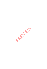**II-INDUSTRIES** 

PREVIEW